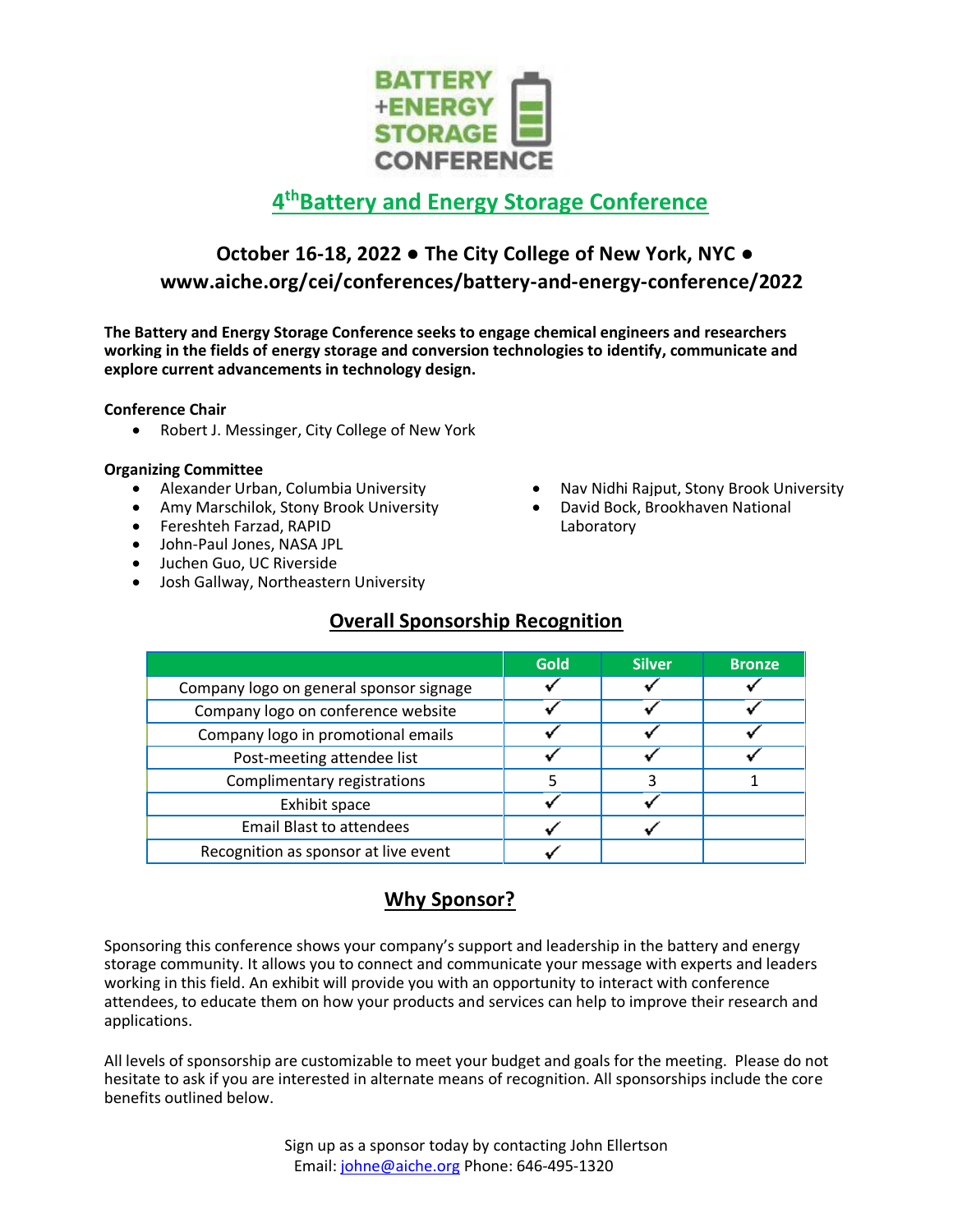

# **4 thBattery and Energy Storage Conference**

## **October 16-18, 2022 ● The City College of New York, NYC ● www.aiche.org/cei/conferences/battery-and-energy-conference/2022**

**The Battery and Energy Storage Conference seeks to engage chemical engineers and researchers working in the fields of energy storage and conversion technologies to identify, communicate and explore current advancements in technology design.**

**Conference Chair**

• Robert J. Messinger, City College of New York

#### **Organizing Committee**

- Alexander Urban, Columbia University
- Amy Marschilok, Stony Brook University
- Fereshteh Farzad, RAPID
- John-Paul Jones, NASA JPL
- Juchen Guo, UC Riverside
- Josh Gallway, Northeastern University
- Nav Nidhi Rajput, Stony Brook University David Bock, Brookhaven National
	- Laboratory

|  | .              |               |
|--|----------------|---------------|
|  | C <sub>1</sub> | <b>Silver</b> |
|  |                |               |

**Overall Sponsorship Recognition**

|                                         | <b>Gold</b> | <b>Silver</b> | <b>Bronze</b> |
|-----------------------------------------|-------------|---------------|---------------|
| Company logo on general sponsor signage |             |               |               |
| Company logo on conference website      |             |               |               |
| Company logo in promotional emails      |             |               |               |
| Post-meeting attendee list              |             |               |               |
| Complimentary registrations             |             |               |               |
| Exhibit space                           |             |               |               |
| <b>Email Blast to attendees</b>         |             |               |               |
| Recognition as sponsor at live event    |             |               |               |

## **Why Sponsor?**

Sponsoring this conference shows your company's support and leadership in the battery and energy storage community. It allows you to connect and communicate your message with experts and leaders working in this field. An exhibit will provide you with an opportunity to interact with conference attendees, to educate them on how your products and services can help to improve their research and applications.

All levels of sponsorship are customizable to meet your budget and goals for the meeting. Please do not hesitate to ask if you are interested in alternate means of recognition. All sponsorships include the core benefits outlined below.

> Sign up as a sponsor today by contacting John Ellertson Email: [johne@aiche.org](mailto:johne@aiche.org) Phone: 646-495-1320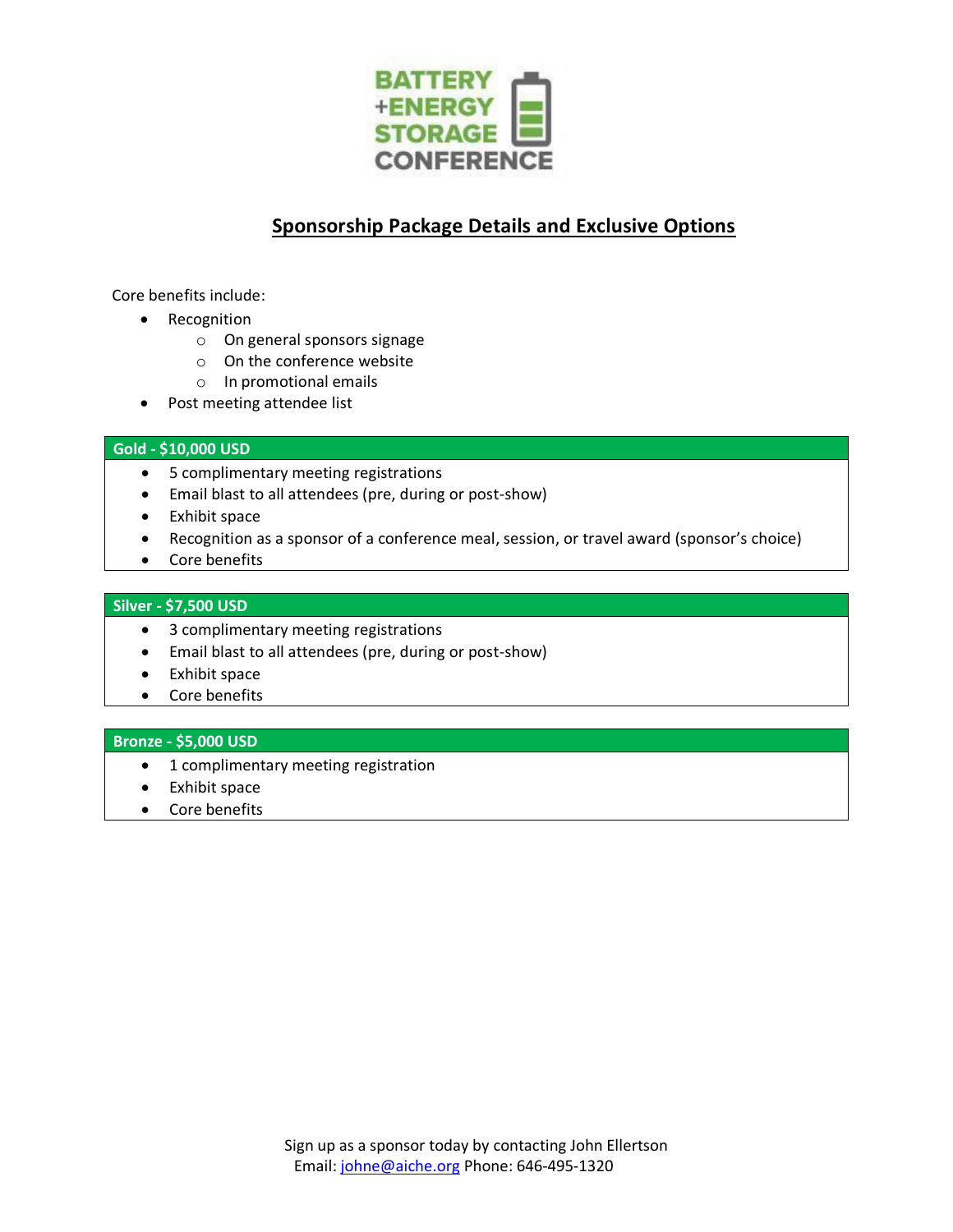

## **Sponsorship Package Details and Exclusive Options**

Core benefits include:

- Recognition
	- o On general sponsors signage
	- o On the conference website
	- o In promotional emails
- Post meeting attendee list

#### **Gold - \$10,000 USD**

- 5 complimentary meeting registrations
- Email blast to all attendees (pre, during or post-show)
- Exhibit space
- Recognition as a sponsor of a conference meal, session, or travel award (sponsor's choice)
- Core benefits

#### **Silver - \$7,500 USD**

- 3 complimentary meeting registrations
- Email blast to all attendees (pre, during or post-show)
- Exhibit space
- Core benefits

#### **Bronze - \$5,000 USD**

- 1 complimentary meeting registration
- Exhibit space
- Core benefits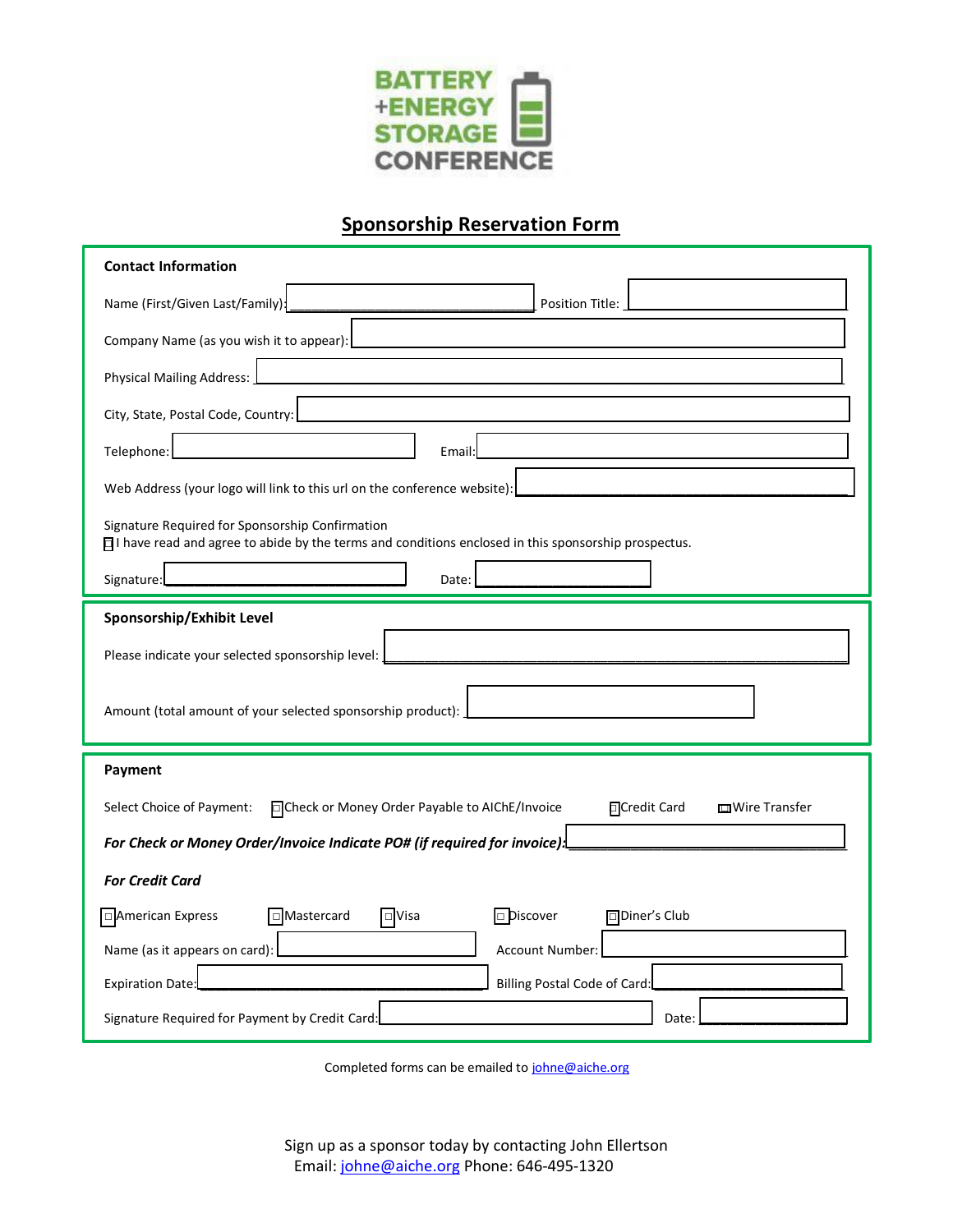

## **Sponsorship Reservation Form**

| <b>Contact Information</b>                                                                                                                              |  |  |  |  |  |
|---------------------------------------------------------------------------------------------------------------------------------------------------------|--|--|--|--|--|
| Name (First/Given Last/Family):<br><b>Position Title:</b>                                                                                               |  |  |  |  |  |
| Company Name (as you wish it to appear):                                                                                                                |  |  |  |  |  |
| <b>Physical Mailing Address:</b>                                                                                                                        |  |  |  |  |  |
| City, State, Postal Code, Country:                                                                                                                      |  |  |  |  |  |
| Telephone:<br>Email:                                                                                                                                    |  |  |  |  |  |
| Web Address (your logo will link to this url on the conference website):                                                                                |  |  |  |  |  |
| Signature Required for Sponsorship Confirmation<br>□I have read and agree to abide by the terms and conditions enclosed in this sponsorship prospectus. |  |  |  |  |  |
| Signature:<br>Date:                                                                                                                                     |  |  |  |  |  |
| Sponsorship/Exhibit Level                                                                                                                               |  |  |  |  |  |
| Please indicate your selected sponsorship level:                                                                                                        |  |  |  |  |  |
| Amount (total amount of your selected sponsorship product):                                                                                             |  |  |  |  |  |
| Payment                                                                                                                                                 |  |  |  |  |  |
| Select Choice of Payment:<br>FCheck or Money Order Payable to AIChE/Invoice<br><b>FCredit Card</b><br>mWire Transfer                                    |  |  |  |  |  |
|                                                                                                                                                         |  |  |  |  |  |
| For Check or Money Order/Invoice Indicate PO# (if required for invoice):                                                                                |  |  |  |  |  |
| <b>For Credit Card</b>                                                                                                                                  |  |  |  |  |  |
| American Express<br>□Mastercard<br>$\Box$ Visa<br><b>Discover</b><br>□Diner's Club                                                                      |  |  |  |  |  |
| Name (as it appears on card):<br>Account Number:                                                                                                        |  |  |  |  |  |
| <b>Billing Postal Code of Card:</b><br><b>Expiration Date:</b>                                                                                          |  |  |  |  |  |

Completed forms can be emailed t[o johne@aiche.org](mailto:johne@aiche.org)

Sign up as a sponsor today by contacting John Ellertson Email: [johne@aiche.org](mailto:johne@aiche.org) Phone: 646-495-1320